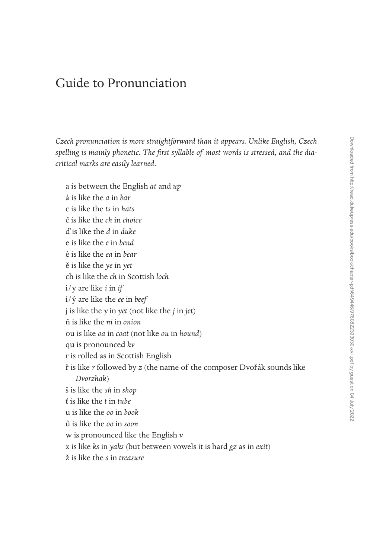## Guide to Pronunciation

*Czech pronunciation is more straightforward than it appears. Unlike English, Czech spelling is mainly phonetic. The first syllable of most words is stressed, and the diacritical marks are easily learned.* 

a is between the English *at* and *up* á is like the *a* in *bar* c is like the *ts* in *hats* č is like the *ch* in *choice* ď is like the *d* in *duke* e is like the *e* in *bend* é is like the *ea* in *bear* ě is like the *ye* in *yet* ch is like the *ch* in Scottish *loch* i/y are like *i* in *if* í/ý are like the *ee* in *beef* j is like the *y* in *yet* (not like the *j* in *jet*) ň is like the *ni* in *onion* ou is like *oa* in *coat* (not like *ou* in *hound*) qu is pronounced *kv* r is rolled as in Scottish English ř is like *r* followed by *z* (the name of the composer Dvořák sounds like *Dvorzhak*) š is like the *sh* in *shop* ť is like the *t* in *tube* u is like the *oo* in *book* ů is like the *oo* in *soon* w is pronounced like the English *v* x is like *ks* in *yaks* (but between vowels it is hard *gz* as in *exit*) ž is like the *s* in *treasure*